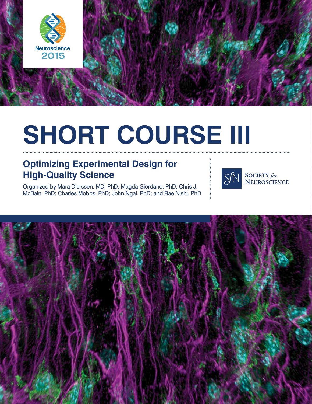

# **SHORT COURSE III**

## **Optimizing Experimental Design for High-Quality Science**

Organized by Mara Dierssen, MD, PhD; Magda Giordano, PhD; Chris J. McBain, PhD; Charles Mobbs, PhD; John Ngai, PhD; and Rae Nishi, PhD



**SOCIETY** for<br>**NEUROSCIENCE** 

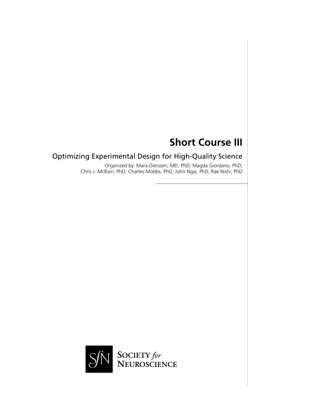## **Short Course III**

## Optimizing Experimental Design for High-Quality Science

Organized by: Mara Dierssen, MD, PhD; Magda Giordano, PhD; Chris J. McBain, PhD; Charles Mobbs, PhD; John Ngai, PhD; Rae Nishi, PhD

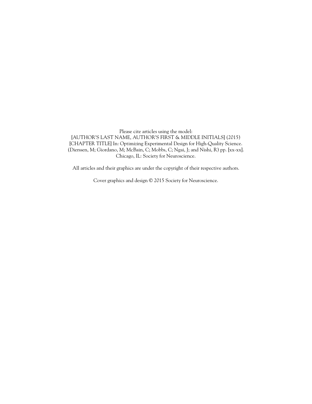Please cite articles using the model: [AUTHOR'S LAST NAME, AUTHOR'S FIRST & MIDDLE INITIALS] (2015) [CHAPTER TITLE] In: Optimizing Experimental Design for High-Quality Science. (Dierssen, M; Giordano, M; McBain, C; Mobbs, C; Ngai, J; and Nishi, R) pp. [xx-xx]. Chicago, IL: Society for Neuroscience.

All articles and their graphics are under the copyright of their respective authors.

Cover graphics and design © 2015 Society for Neuroscience.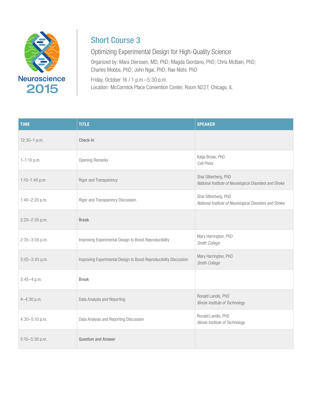

## Short Course 3

## Optimizing Experimental Design for High-Quality Science

Organized by: Mara Dierssen, MD, PhD; Magda Giordano, PhD; Chris McBain, PhD; Charles Mobbs, PhD; John Ngai, PhD; Rae Nishi, PhD

Friday, October 16 / 1 p.m.–5:30 p.m. Location: McCormick Place Convention Center, Room N227, Chicago, IL

| <b>TIME</b>        | <b>TITLE</b>                                                      | <b>SPEAKER</b>                                                                  |
|--------------------|-------------------------------------------------------------------|---------------------------------------------------------------------------------|
| $12:30 - 1$ p.m.   | Check-In                                                          |                                                                                 |
| $1 - 1:10$ p.m.    | <b>Opening Remarks</b>                                            | Katja Brose, PhD<br>Cell Press                                                  |
| $1:10-1:40$ p.m.   | Rigor and Transparency                                            | Shai Silberberg, PhD<br>National Institute of Neurological Disorders and Stroke |
| 1:40-2:20 p.m.     | Rigor and Transparency Discussion                                 | Shai Silberberg, PhD<br>National Institute of Neurological Disorders and Stroke |
| 2:20-2:35 p.m.     | <b>Break</b>                                                      |                                                                                 |
| $2:35 - 3:05$ p.m. | Improving Experimental Design to Boost Reproducibility            | Mary Harrington, PhD<br>Smith College                                           |
| $3:05 - 3:45$ p.m. | Improving Experimental Design to Boost Reproducibility Discussion | Mary Harrington, PhD<br>Smith College                                           |
| $3:45-4$ p.m.      | <b>Break</b>                                                      |                                                                                 |
| 4-4:30 p.m.        | Data Analysis and Reporting                                       | Ronald Landis, PhD<br>Illinois Institute of Technology                          |
| 4:30-5:10 p.m.     | Data Analysis and Reporting Discussion                            | Ronald Landis, PhD<br>Illinois Institute of Technology                          |
| $5:10-5:30$ p.m.   | <b>Question and Answer</b>                                        |                                                                                 |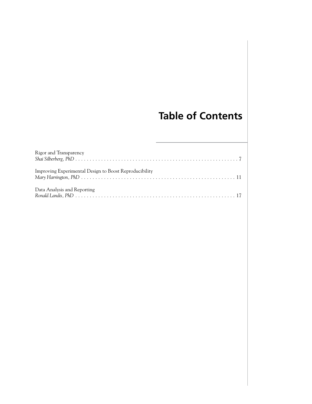## **Table of Contents**

| Rigor and Transparency                                 |
|--------------------------------------------------------|
| Improving Experimental Design to Boost Reproducibility |
| Data Analysis and Reporting                            |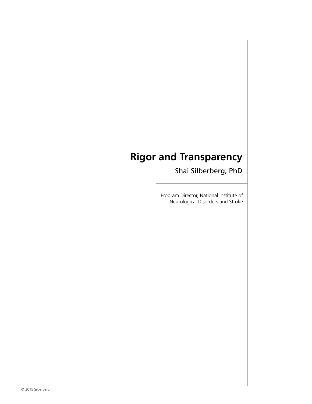# **Rigor and Transparency**

Shai Silberberg, PhD

Program Director, National Institute of Neurological Disorders and Stroke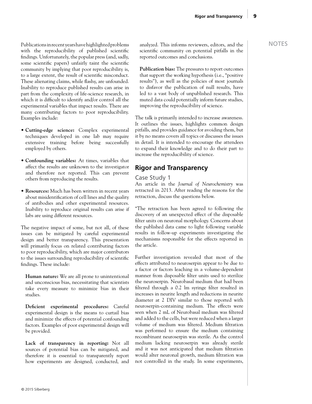Publications in recent years have highlighted problems with the reproducibility of published scientific findings. Unfortunately, the popular press (and, sadly, some scientific papers) unfairly taint the scientific community by implying that poor reproducibility is, to a large extent, the result of scientific misconduct. These alienating claims, while flashy, are unfounded. Inability to reproduce published results can arise in part from the complexity of life-science research, in which it is difficult to identify and/or control all the experimental variables that impact results. There are many contributing factors to poor reproducibility. Examples include:

- **Cutting-edge science:** Complex experimental techniques developed in one lab may require extensive training before being successfully employed by others.
- **Confounding variables:** At times, variables that affect the results are unknown to the investigator and therefore not reported. This can prevent others from reproducing the results.
- **Resources:** Much has been written in recent years about misidentification of cell lines and the quality of antibodies and other experimental resources. Inability to reproduce original results can arise if labs are using different resources.

The negative impact of some, but not all, of these issues can be mitigated by careful experimental design and better transparency. This presentation will primarily focus on related contributing factors to poor reproducibility, which are major contributors to the issues surrounding reproducibility of scientific findings. These include:

**Human nature:** We are all prone to unintentional and unconscious bias, necessitating that scientists take every measure to minimize bias in their studies.

**Deficient experimental procedures:** Careful experimental design is the means to curtail bias and minimize the effects of potential confounding factors. Examples of poor experimental design will be provided.

**Lack of transparency in reporting:** Not all sources of potential bias can be mitigated, and therefore it is essential to transparently report how experiments are designed, conducted, and analyzed. This informs reviewers, editors, and the scientific community on potential pitfalls in the reported outcomes and conclusions.

**Publication bias:** The pressures to report outcomes that support the working hypothesis (i.e., "positive results"), as well as the policies of most journals to disfavor the publication of null results, have led to a vast body of unpublished research. This muted data could potentially inform future studies, improving the reproducibility of science.

The talk is primarily intended to increase awareness. It outlines the issues, highlights common design pitfalls, and provides guidance for avoiding them, but it by no means covers all topics or discusses the issues in detail. It is intended to encourage the attendees to expand their knowledge and to do their part to increase the reproducibility of science.

#### **Rigor and Transparency**

Case Study 1

An article in the *Journal of Neurochemistry* was retracted in 2013. After reading the reasons for the retraction, discuss the questions below.

"The retraction has been agreed to following the discovery of an unexpected effect of the disposable filter units on neuronal morphology. Concerns about the published data came to light following variable results in follow-up experiments investigating the mechanisms responsible for the effects reported in the article.

Further investigation revealed that most of the effects attributed to neuroserpin appear to be due to a factor or factors leaching in a volume-dependent manner from disposable filter units used to sterilize the neuroserpin. Neurobasal medium that had been filtered through a 0.2 lm syringe filter resulted in increases in neurite length and reductions in neurite diameter at 2 DIV similar to those reported with neuroserpin-containing medium. The effects were seen when 2 mL of Neurobasal medium was filtered and added to the cells, but were reduced when a larger volume of medium was filtered. Medium filtration was performed to ensure the medium containing recombinant neuroserpin was sterile. As the control medium lacking neuroserpin was already sterile and it was not anticipated that medium filtration would alter neuronal growth, medium filtration was not controlled in the study. In some experiments,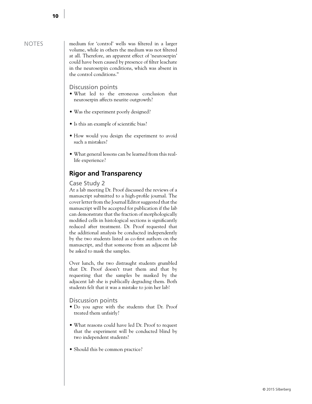#### **NOTES**

medium for 'control' wells was filtered in a larger volume, while in others the medium was not filtered at all. Therefore, an apparent effect of 'neuroserpin' could have been caused by presence of filter leachate in the neuroserpin conditions, which was absent in the control conditions."

Discussion points

- What led to the erroneous conclusion that neuroserpin affects neurite outgrowth?
- Was the experiment poorly designed?
- Is this an example of scientific bias?
- How would you design the experiment to avoid such a mistakes?
- What general lessons can be learned from this reallife experience?

### **Rigor and Transparency**

#### Case Study 2

At a lab meeting Dr. Proof discussed the reviews of a manuscript submitted to a high-profile journal. The cover letter from the Journal Editor suggested that the manuscript will be accepted for publication if the lab can demonstrate that the fraction of morphologically modified cells in histological sections is significantly reduced after treatment. Dr. Proof requested that the additional analysis be conducted independently by the two students listed as co-first authors on the manuscript, and that someone from an adjacent lab be asked to mask the samples.

Over lunch, the two distraught students grumbled that Dr. Proof doesn't trust them and that by requesting that the samples be masked by the adjacent lab she is publically degrading them. Both students felt that it was a mistake to join her lab!

#### Discussion points

- Do you agree with the students that Dr. Proof treated them unfairly?
- What reasons could have led Dr. Proof to request that the experiment will be conducted blind by two independent students?
- Should this be common practice?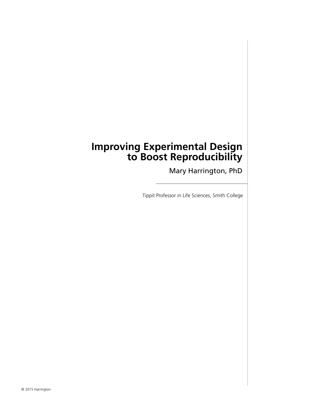## **Improving Experimental Design to Boost Reproducibility**

Mary Harrington, PhD

Tippit Professor in Life Sciences, Smith College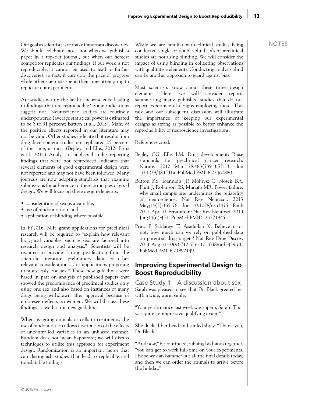Our goal as scientists is to make important discoveries. NOTES While we are familiar with clinical studies being We should celebrate most, not when we publish a paper in a top-tier journal, but when our fiercest competitor replicates our findings. If our work is not reproducible, it cannot be used to lead to further discoveries; in fact, it can slow the pace of progress while other scientists spend their time attempting to replicate our experiments.

Are studies within the field of neuroscience leading to findings that are reproducible? Some indications suggest not. Neuroscience studies are routinely under-powered (average statistical power is estimated to be 8 to 31 percent; Button et al., 2013). Many of the positive effects reported in our literature may not be valid. Other studies indicate that results from drug development studies are replicated 25 percent of the time, at most (Begley and Ellis, 2012; Prinz et al., 2011). Analysis of published studies reporting findings that were not reproduced indicates that several elements of good experimental design were not reported and may not have been followed. Many journals are now adopting standards that examine submissions for adherence to these principles of good design. We will focus on three design elements:

- consideration of sex as a variable,
- use of randomization, and
- application of blinding where possible.

In FY2016, NIH grant applications for preclinical research will be required to "explain how relevant biological variables, such as sex, are factored into research design and analysis." Scientists will be required to provide "strong justification from the scientific literature, preliminary data, or other relevant considerations…for applications proposing to study only one sex." These new guidelines were based in part on analysis of published papers that showed the predominance of preclinical studies only using one sex and also based on instances of many drugs being withdrawn after approval because of unforeseen effects on women. We will discuss these findings, as well as the new guidelines.

When assigning animals or cells to treatments, the use of randomization allows distribution of the effects of uncontrolled variables in an unbiased manner. Random does not mean haphazard; we will discuss techniques to utilize this approach for experiment design. Randomization is an important factor that can distinguish studies that lead to replicable and translatable findings.

conducted single or double-blind, often preclinical studies are not using blinding. We will consider the impact of using blinding in collecting observations with qualitative elements. Conducting analysis blind can be another approach to guard against bias.

Most scientists know about these three design elements. Here, we will consider reports summarizing many published studies that do not report experimental designs employing these. This talk and our subsequent discussion will illustrate the importance of keeping our experimental designs as strong as possible to better enhance the reproducibility of neuroscience investigations.

References cited:

- Begley CG, Ellis LM. Drug development: Raise standards for preclinical cancer research. Nature. 2012 Mar 28;483(7391):531-3. doi: 10.1038/483531a. PubMed PMID: 22460880.
- Button KS, Ioannidis JP, Mokrysz C, Nosek BA, Flint J, Robinson ES, Munafò MR. Power failure: why small sample size undermines the reliability of neuroscience. Nat Rev Neurosci. 2013 May;14(5):365-76. doi: 10.1038/nrn3475. Epub 2013 Apr 10. Erratum in: Nat Rev Neurosci. 2013 Jun;14(6):451. PubMed PMID: 23571845.
- Prinz F, Schlange T, Asadullah K. Believe it or not: how much can we rely on published data on potential drug targets? Nat Rev Drug Discov. 2011 Aug 31;10(9):712. doi: 10.1038/nrd3439-c1. PubMed PMID: 21892149.

## **Improving Experimental Design to Boost Reproducibility**

Case Study 1 – A discussion about sex Sarah was pleased to see that Dr. Black greeted her with a wide, warm smile.

"Your performance last week was superb, Sarah! That was quite an impressive qualifying exam!"

She ducked her head and smiled shyly. "Thank you, Dr. Black."

"And now," he continued, rubbing his hands together, "you can get to work full-time on your experiments. I hope we can hammer out all the final details today, and then we can order the animals to arrive before the holiday."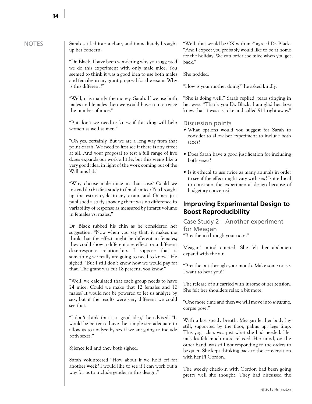## NOTES Sarah settled into a chair, and immediately brought

up her concern.

"Dr. Black, I have been wondering why you suggested we do this experiment with only male mice. You seemed to think it was a good idea to use both males and females in my grant proposal for the exam. Why is this different?"

"Well, it is mainly the money, Sarah. If we use both males and females then we would have to use twice the number of mice."

"But don't we need to know if this drug will help women as well as men?"

"Oh yes, certainly. But we are a long way from that point Sarah. We need to first see if there is any effect at all. And your proposal to test a full range of five doses expands our work a little, but this seems like a very good idea, in light of the work coming out of the Williams lab."

"Why choose male mice in that case? Could we instead do this first study in female mice? You brought up the estrus cycle in my exam, and Gomez just published a study showing there was no difference in variability of response as measured by infarct volume in females vs. males."

Dr. Black rubbed his chin as he considered her suggestion. "Now when you say that, it makes me think that the effect might be different in females; they could show a different size effect, or a different dose-response relationship. I suppose that is something we really are going to need to know." He sighed. "But I still don't know how we would pay for that. The grant was cut 18 percent, you know."

"Well, we calculated that each group needs to have 24 mice. Could we make that 12 females and 12 males? It would not be powered to let us analyze by sex, but if the results were very different we could see that."

"I don't think that is a good idea," he advised. "It would be better to have the sample size adequate to allow us to analyze by sex if we are going to include both sexes."

Silence fell and they both sighed.

Sarah volunteered "How about if we hold off for another week? I would like to see if I can work out a way for us to include gender in this design."

"Well, that would be OK with me" agreed Dr. Black. "And I expect you probably would like to be at home for the holiday. We can order the mice when you get back."

She nodded.

"How is your mother doing?" he asked kindly.

"She is doing well," Sarah replied, tears stinging in her eyes. "Thank you Dr. Black. I am glad her boss knew that it was a stroke and called 911 right away."

#### Discussion points

- What options would you suggest for Sarah to consider to allow her experiment to include both sexes?
- Does Sarah have a good justification for including both sexes?
- Is it ethical to use twice as many animals in order to see if the effect might vary with sex? Is it ethical to constrain the experimental design because of budgetary concerns?

### **Improving Experimental Design to Boost Reproducibility**

Case Study 2 – Another experiment for Meagan "Breathe in through your nose."

Meagan's mind quieted. She felt her abdomen expand with the air.

"Breathe out through your mouth. Make some noise. I want to hear you!"

The release of air carried with it some of her tension. She felt her shoulders relax a bit more.

"One more time and then we will move into *savasana*, corpse pose."

With a last steady breath, Meagan let her body lay still, supported by the floor, palms up, legs limp. This yoga class was just what she had needed. Her muscles felt much more relaxed. Her mind, on the other hand, was still not responding to the orders to be quiet. She kept thinking back to the conversation with her PI Gordon.

The weekly check-in with Gordon had been going pretty well she thought. They had discussed the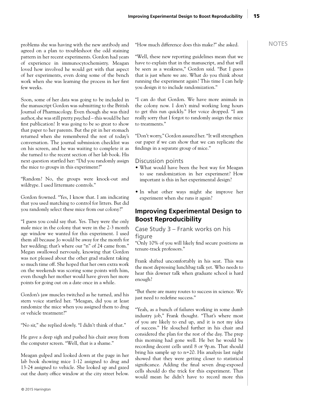agreed on a plan to troubleshoot the odd staining pattern in her recent experiments. Gordon had years of experience in immunocytochemistry. Meagan loved how involved he would get with that aspect of her experiments, even doing some of the bench work when she was learning the process in her first few weeks.

Soon, some of her data was going to be included in the manuscript Gordon was submitting to the British Journal of Pharmacology. Even though she was third author, she was still pretty psyched – this would be her first publication! It was going to be so great to show that paper to her parents. But the pit in her stomach returned when she remembered the rest of today's conversation. The journal submission checklist was on his screen, and he was waiting to complete it as she turned to the recent section of her lab book. His next question startled her: "Did you randomly assign the mice to groups in this experiment?"

"Random? No, the groups were knock-out and wildtype. I used littermate controls."

Gordon frowned. "Yes, I know that. I am indicating that you used matching to control for litters. But did you randomly select these mice from our colony?"

"I guess you could say that. Yes. They were the only male mice in the colony that were in the 2-3 month age window we wanted for this experiment. I used them all because Jo would be away for the month for her wedding; that's where our "n" of 24 came from." Megan swallowed nervously, knowing that Gordon was not pleased about the other grad student taking so much time off. She hoped that her own extra work on the weekends was scoring some points with him, even though her mother would have given her more points for going out on a date once in a while.

Gordon's jaw muscles twitched as he turned, and his stern voice startled her. "Meagan, did you at least randomize the mice when you assigned them to drug or vehicle treatment?"

"No sir," she replied slowly. "I didn't think of that."

He gave a deep sigh and pushed his chair away from the computer screen. "Well, that is a shame."

Meagan gulped and looked down at the page in her lab book showing mice 1-12 assigned to drug and 13-24 assigned to vehicle. She looked up and gazed out the dusty office window at the city street below.

© 2015 Harrington

problems she was having with the new antibody and "How much difference does this make?" she asked. NOTES "How much difference does this make?" she asked.

> "Well, these new reporting guidelines mean that we have to explain that in the manuscript, and that will be seen as a weakness," Gordon said. "But I guess that is just where we are. What do you think about running the experiment again? This time I can help you design it to include randomization."

> "I can do that Gordon. We have more animals in the colony now. I don't mind working long hours to get this run quickly." Her voice dropped. "I am really sorry that I forgot to randomly assign the mice to treatments."

> "Don't worry," Gordon assured her. "It will strengthen our paper if we can show that we can replicate the findings in a separate group of mice."

#### Discussion points

- What would have been the best way for Meagan to use randomization in her experiment? How important is this in her experimental design?
- In what other ways might she improve her experiment when she runs it again?

#### **Improving Experimental Design to Boost Reproducibility**

Case Study 3 – Frank works on his figure

"Only 10% of you will likely find secure positions as tenure-track professors."

Frank shifted uncomfortably in his seat. This was the most depressing lunchbag talk yet. Who needs to hear this downer talk when graduate school is hard enough?

"But there are many routes to success in science. We just need to redefine success."

"Yeah, as a bunch of failures working in some dumb industry job," Frank thought. "That's where most of you are likely to end up, and it is not my idea of success." He slouched further in his chair and considered the plan for the rest of the day. The prep this morning had gone well. He bet he would be recording decent cells until 8 or 9p.m. That should bring his sample up to n=20. His analysis last night showed that they were getting closer to statistical significance. Adding the final seven drug-exposed cells should do the trick for this experiment. That would mean he didn't have to record more this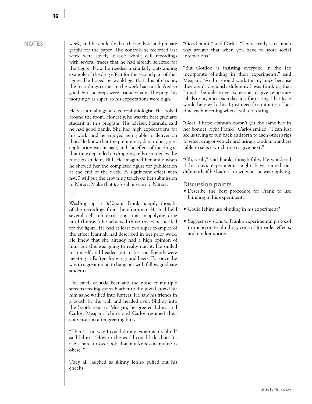…..

NOTES week, and he could finalize the analysis and prepare graphs for the paper. The controls he recorded last week were lovely, classic whole cell recordings with several traces that he had already selected for the figure. Now he needed a similarly outstanding example of the drug effect for the second part of that figure. He hoped he would get that this afternoon; the recordings earlier in the week had not looked so good, but the preps were just adequate. The prep this morning was super, so his expectations were high.

> He was a really good electrophysiologist. He looked around the room. Honestly, he was the best graduate student in this program. His adviser, Hannah, said he had good hands. She had high expectations for his work, and he enjoyed being able to deliver on that. He knew that the preliminary data in her grant application was meager, and the effect of the drug at that time depended on dropping cells recorded by the rotation student, Bill. He imagined her smile when he showed her the completed figure for publication at the end of the week. A significant effect with n=20 will put the crowning touch on her submission to *Nature*. Make that *their* submission to *Nature*.

> Washing up at 8:30p.m., Frank happily thought of the recordings from the afternoon. He had held several cells an extra-long time, reapplying drug until (hurray!) he achieved those traces he needed for the figure. He had at least two super examples of the effect Hannah had described in her prior work. He knew that she already had a high opinion of him, but this was going to really nail it. He smiled to himself and headed out to his car. Friends were meeting at Rafters for wings and beers. For once, he was in a great mood to hang out with fellow graduate students.

> The smell of stale beer and the noise of multiple screens feeding sports blather to the jovial crowd hit him as he walked into Rafters. He saw his friends in a booth by the wall and headed over. Sliding into the booth next to Meagan, he greeted Ichiro and Carlos. Meagan, Ichiro, and Carlos resumed their conversation after greeting him.

> "There is no way I could do my experiments blind" said Ichiro. "How in the world could I do that? It's a bit hard to overlook that my knock-in mouse is obese. "

> They all laughed as skinny Ichiro puffed out his cheeks.

"Good point," said Carlos. "There really isn't much way around that when you have to score social interactions."

"But Gordon is insisting everyone in the lab incorporate blinding in their experiments," said Meagan. "And it should work for my mice because they aren't obviously different. I was thinking that I might be able to get someone to give temporary labels to my mice each day, just for testing. I bet Josie would help with this. I just need five minutes of her time each morning when I will do testing."

"Geez, I hope Hannah doesn't get the same bee in her bonnet, right Frank?" Carlos smiled. "I can just see us trying to run back and forth to each other's rigs to select drug or vehicle and using a random numbers table to select which one to give next."

"Oh, yeah," said Frank, thoughtfully. He wondered if his day's experiments might have turned out differently if he hadn't known what he was applying.

#### Discussion points

- Describe the best procedure for Frank to use blinding in his experiment.
- Could Ichiro use blinding in his experiment?
- Suggest revisions to Frank's experimental protocol to incorporate blinding, control for order effects, and randomization.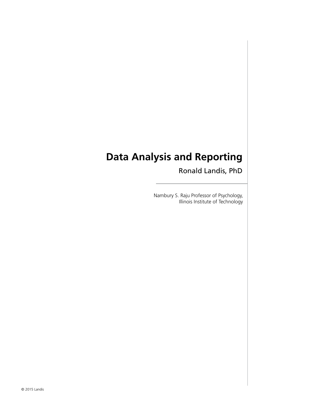# **Data Analysis and Reporting**

Ronald Landis, PhD

Nambury S. Raju Professor of Psychology, Illinois Institute of Technology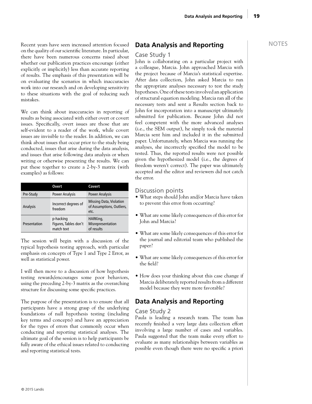19

Recent years have seen increased attention focused **Data Analysis and Reporting** NOTES on the quality of our scientific literature. In particular, there have been numerous concerns raised about whether our publication practices encourage (either explicitly or implicitly) less than accurate reporting of results. The emphasis of this presentation will be on evaluating the scenarios in which inaccuracies work into our research and on developing sensitivity to these situations with the goal of reducing such mistakes.

We can think about inaccuracies in reporting of results as being associated with either overt or covert issues. Specifically, overt issues are those that are self-evident to a reader of the work, while covert issues are invisible to the reader. In addition, we can think about issues that occur prior to the study being conducted, issues that arise during the data analysis, and issues that arise following data analysis or when writing or otherwise presenting the results. We can put these together to create a 2-by-3 matrix (with examples) as follows:

|              | Overt                                            | Covert                                                              |
|--------------|--------------------------------------------------|---------------------------------------------------------------------|
| Pre-Study    | <b>Power Analysis</b>                            | <b>Power Analysis</b>                                               |
| Analysis     | Incorrect degrees of<br>freedom                  | <b>Missing Data, Violation</b><br>of Assumptions, Outliers,<br>etc. |
| Presentation | p-hacking<br>Figures, Tables don't<br>match text | HARKing,<br>Misrepresentation<br>of results                         |

The session will begin with a discussion of the typical hypothesis testing approach, with particular emphasis on concepts of Type 1 and Type 2 Error, as well as statistical power.

I will then move to a discussion of how hypothesis testing rewards/encourages some poor behaviors, using the preceding 2-by-3 matrix as the overarching structure for discussing some specific practices.

The purpose of the presentation is to ensure that all participants have a strong grasp of the underlying foundations of null hypothesis testing (including key terms and concepts) and have an appreciation for the types of errors that commonly occur when conducting and reporting statistical analyses. The ultimate goal of the session is to help participants be fully aware of the ethical issues related to conducting and reporting statistical tests.

#### **Data Analysis and Reporting**

#### Case Study 1

John is collaborating on a particular project with a colleague, Marcia. John approached Marcia with the project because of Marcia's statistical expertise. After data collection, John asked Marcia to run the appropriate analyses necessary to test the study hypotheses. One of these tests involved an application of structural equation modeling. Marcia ran all of the necessary tests and sent a Results section back to John for incorporation into a manuscript ultimately submitted for publication. Because John did not feel competent with the more advanced analyses (i.e., the SEM output), he simply took the material Marcia sent him and included it in the submitted paper. Unfortunately, when Marcia was running the analyses, she incorrectly specified the model to be tested. Thus, the reported results were not possible given the hypothesized model (i.e., the degrees of freedom weren't correct). The paper was ultimately accepted and the editor and reviewers did not catch the error.

#### Discussion points

- What steps should John and/or Marcia have taken to prevent this error from occurring?
- What are some likely consequences of this error for John and Marcia?
- What are some likely consequences of this error for the journal and editorial team who published the paper?
- What are some likely consequences of this error for the field?
- How does your thinking about this case change if Marcia deliberately reported results from a different model because they were more favorable?

#### **Data Analysis and Reporting**

#### Case Study 2

Paula is leading a research team. The team has recently finished a very large data collection effort involving a large number of cases and variables. Paula suggested that the team make every effort to evaluate as many relationships between variables as possible even though there were no specific a priori